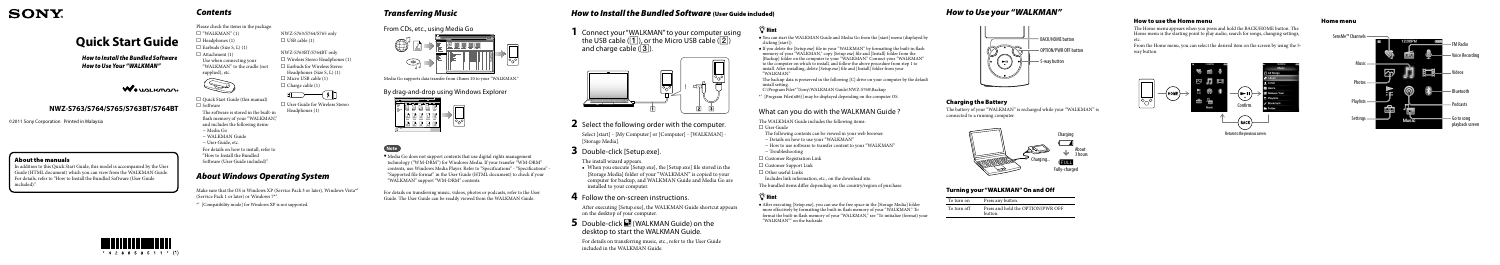

# **Quick Start Guide**

**1** Connect your"WALKMAN"to your computer using the USB cable ( $\boxed{1}$ ), or the Micro USB cable ( $\boxed{2}$ ) and charge cable  $(\overline{3})$ .



*How to Install the Bundled Software How to Use Your "WALKMAN"*

# WOULLKMAN

Select [start] - [My Computer] or [Computer] - [WALKMAN] [Storage Media].

# **3** Double-click [Setup.exe].

# **2** Select the following order with the computer.

The install wizard appears.

### **5** Double-click **(WALKMAN Guide)** on the desktop to start the WALKMAN Guide.

 When you execute [Setup.exe], the [Setup.exe] file stored in the [Storage Media] folder of your "WALKMAN" is copied to your computer for backup, and WALKMAN Guide and Media Go are installed to your computer.

### **4** Follow the on-screen instructions.

 $\Box$  "WALKMAN" (1)  $\Box$  Headphones (1)  $\Box$  Earbuds (Size S, L) (1)  $\Box$  Attachment (1) Use when connecting your "WALKMAN" to the cradle (not supplied), etc.



 $\Box$  Quick Start Guide (this manual)  $\Box$  Software The software is stored in the built-in

flash memory of your "WALKMAN," and includes the following items:

- Media Go
- WALKMAN Guide
- User Guide, etc.

After executing [Setup.exe], the WALKMAN Guide shortcut appears on the desktop of your computer.

NWZ-S763BT/S764BT only Wireless Stereo Headphones (1) □ Earbuds for Wireless Stereo Headphones (Size S, L) (1)  $\Box$  Micro USB cable (1)  $\Box$  Charge cable (1)

□ User Guide for Wireless Stereo

 $\bigoplus$   $\longrightarrow$   $\bullet$   $\mathbb{R}$ 

For details on transferring music, etc., refer to the User Guide included in the WALKMAN Guide.

# ፝፶፝**´ Hint**

©2011 Sony Corporation Printed in Malaysia

Make sure that the OS is Windows XP (Service Pack 3 or later), Windows Vista<sup>\*1</sup> (Service Pack 1 or later) or Windows 7\*1 .

# *Contents*

Please check the items in the package.

- You can start the WALKMAN Guide and Media Go from the [start] menu (displayed by clicking [start]).
- If you delete the [Setup.exe] file in your "WALKMAN" by formatting the built-in flash memory of your "WALKMAN," copy [Setup.exe] file and [Install] folder from the [Backup] folder on the computer to your "WALKMAN." Connect your "WALKMAN" to the computer on which to install, and follow the above procedure from step 1 to install. After installing, delete [Setup.exe] file and [Install] folder from your "WALKMAN"

For details on how to install, refer to "How to Install the Bundled Software (User Guide included)".

NWZ-S763/S764/S765 only

- User Guide
- The following contents can be viewed in your web browser.
- Details on how to use your "WALKMAN"
- $-$  How to use software to transfer content to your "WALKMAN"
- Troubleshooting
- □ Customer Registration Link
- □ Customer Support Link
- $\Box$  Other useful Links

Headphones (1)

 $\Box$  USB cable (1)

# *About Windows Operating System*

\*1 [Compatibility mode] for Windows XP is not supported.

### *How to Use your "WALKMAN"*



### Charging the Battery

The battery of your "WALKMAN" is recharged while your "WALKMAN" is connected to a running computer.



### Turning your "WALKMAN" On and Off

| To turn on  | Press any button.                            |
|-------------|----------------------------------------------|
| To turn off | Press and hold the OPTION/PWR OFF<br>button. |

The backup data is preserved in the following [C] drive on your computer by the default install setting.

C:\Program Files\*1 \Sony\WALKMAN Guide\NWZ-S760\Backup

\*1 [Program Files(x86)] may be displayed depending on the computer OS.

### What can you do with the WALKMAN Guide ?

The WALKMAN Guide includes the following items:

Includes link information, etc., on the download site.

The bundled items differ depending on the country/region of purchase.

# ີ່ ∀ີ<sup>\*</sup> Hint

 After executing [Setup.exe], you can use the free space in the [Storage Media] folder more effectively by formatting the built-in flash memory of your "WALKMAN." To format the built-in flash memory of your "WALKMAN," see "To initialize (format) your "WALKMAN"" on the backside.

# *Transferring Music*

From CDs, etc., using Media Go



Media Go supports data transfer from iTunes 10 to your "WALKMAN."

By drag-and-drop using Windows Explorer



**Note**

Media Go does not support contents that use digital rights management technology ("WM-DRM") for Windows Media. If your transfer "WM-DRM" contents, use Windows Media Player. Refer to "Specifications" - "Specifications" - "Supported file format" in the User Guide (HTML document) to check if your "WALKMAN" support "WM-DRM" contents.

For details on transferring music, videos, photos or podcasts, refer to the User Guide. The User Guide can be readily viewed from the WALKMAN Guide.



# *How to Install the Bundled Software* (User Guide included)

### **NWZ-S763/S764/S765/S763BT/S764BT**

#### Home menu



### How to use the Home menu

The Home menu appears when you press and hold the BACK/HOME button. The Home menu is the starting point to play audio, search for songs, changing settings, etc.

From the Home menu, you can select the desired item on the screen by using the 5 way button.



### About the manuals

In addition to this Quick Start Guide, this model is accompanied by the User Guide (HTML document) which you can view from the WALKMAN Guide. For details, refer to "How to Install the Bundled Software (User Guide included)."